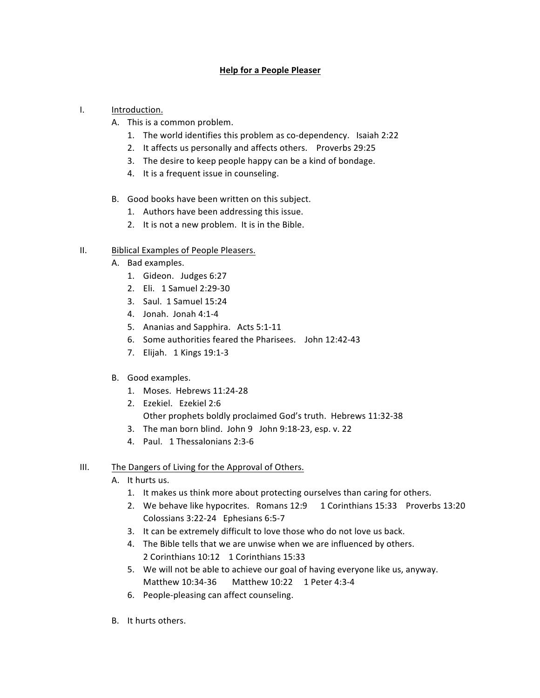## **Help for a People Pleaser**

- I. **Introduction.** 
	- A. This is a common problem.
		- 1. The world identifies this problem as co-dependency. Isaiah 2:22
		- 2. It affects us personally and affects others. Proverbs 29:25
		- 3. The desire to keep people happy can be a kind of bondage.
		- 4. It is a frequent issue in counseling.
	- B. Good books have been written on this subject.
		- 1. Authors have been addressing this issue.
		- 2. It is not a new problem. It is in the Bible.

## II. Biblical Examples of People Pleasers.

- A. Bad examples.
	- 1. Gideon. Judges 6:27
	- 2. Eli. 1 Samuel 2:29-30
	- 3. Saul. 1 Samuel 15:24
	- 4. Jonah. Jonah 4:1-4
	- 5. Ananias and Sapphira. Acts 5:1-11
	- 6. Some authorities feared the Pharisees. John 12:42-43
	- 7. Elijah. 1 Kings 19:1-3

## B. Good examples.

- 1. Moses. Hebrews 11:24-28
- 2. Ezekiel. Ezekiel 2:6 Other prophets boldly proclaimed God's truth. Hebrews 11:32-38
- 3. The man born blind. John  $9$  John  $9:18-23$ , esp. v. 22
- 4. Paul. 1 Thessalonians 2:3-6

## III. The Dangers of Living for the Approval of Others.

- A. It hurts us.
	- 1. It makes us think more about protecting ourselves than caring for others.
	- 2. We behave like hypocrites. Romans 12:9 1 Corinthians 15:33 Proverbs 13:20 Colossians 3:22-24 Ephesians 6:5-7
	- 3. It can be extremely difficult to love those who do not love us back.
	- 4. The Bible tells that we are unwise when we are influenced by others. 2 Corinthians 10:12 1 Corinthians 15:33
	- 5. We will not be able to achieve our goal of having everyone like us, anyway. Matthew 10:34-36 Matthew 10:22 1 Peter 4:3-4
	- 6. People-pleasing can affect counseling.
- B. It hurts others.